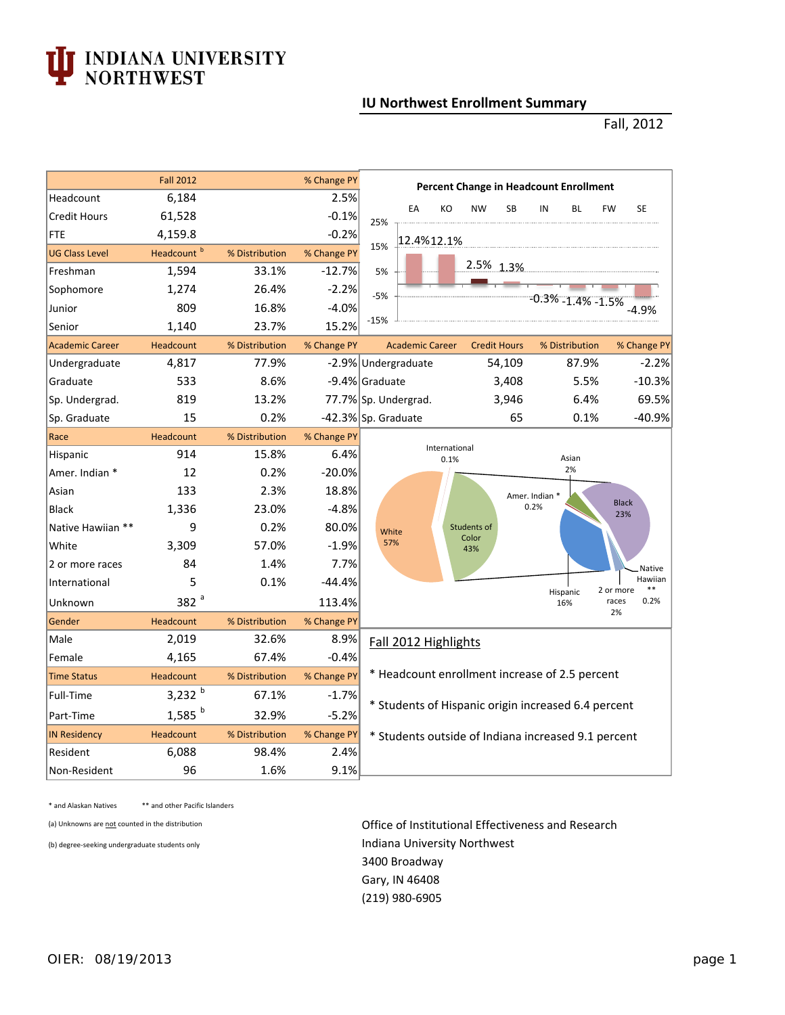## **TEXA EXECUTE IN EXECUTE IN ORTHWEST**

## **IU Northwest Enrollment Summary**

## Fall, 2012

|                        | <b>Fall 2012</b>       |                | % Change PY | <b>Percent Change in Headcount Enrollment</b>                                   |  |  |  |  |  |  |
|------------------------|------------------------|----------------|-------------|---------------------------------------------------------------------------------|--|--|--|--|--|--|
| Headcount              | 6,184                  |                | 2.5%        | EA<br>KO<br><b>NW</b><br><b>SB</b><br>IN<br><b>BL</b><br><b>FW</b><br><b>SE</b> |  |  |  |  |  |  |
| <b>Credit Hours</b>    | 61,528                 |                | $-0.1%$     | 25%                                                                             |  |  |  |  |  |  |
| FTE                    | 4,159.8                |                | $-0.2%$     | 12.4%12.1%                                                                      |  |  |  |  |  |  |
| <b>UG Class Level</b>  | Headcount <sup>b</sup> | % Distribution | % Change PY | 15%                                                                             |  |  |  |  |  |  |
| Freshman               | 1,594                  | 33.1%          | $-12.7%$    | 2.5% 1.3%<br>5%                                                                 |  |  |  |  |  |  |
| Sophomore              | 1,274                  | 26.4%          | $-2.2%$     | $-5%$                                                                           |  |  |  |  |  |  |
| Junior                 | 809                    | 16.8%          | $-4.0%$     | -0.3% -1.4% -1.5%<br>-4.9%                                                      |  |  |  |  |  |  |
| Senior                 | 1,140                  | 23.7%          | 15.2%       | $-15%$                                                                          |  |  |  |  |  |  |
| <b>Academic Career</b> | Headcount              | % Distribution | % Change PY | % Distribution<br>% Change PY<br><b>Academic Career</b><br><b>Credit Hours</b>  |  |  |  |  |  |  |
| Undergraduate          | 4,817                  | 77.9%          |             | 87.9%<br>$-2.2%$<br>-2.9% Undergraduate<br>54,109                               |  |  |  |  |  |  |
| Graduate               | 533                    | 8.6%           |             | $-10.3%$<br>5.5%<br>-9.4% Graduate<br>3,408                                     |  |  |  |  |  |  |
| Sp. Undergrad.         | 819                    | 13.2%          |             | 69.5%<br>6.4%<br>77.7% Sp. Undergrad.<br>3,946                                  |  |  |  |  |  |  |
| Sp. Graduate           | 15                     | 0.2%           |             | $-40.9%$<br>65<br>0.1%<br>-42.3% Sp. Graduate                                   |  |  |  |  |  |  |
| Race                   | Headcount              | % Distribution | % Change PY |                                                                                 |  |  |  |  |  |  |
| Hispanic               | 914                    | 15.8%          | 6.4%        | International<br>Asian<br>0.1%                                                  |  |  |  |  |  |  |
| Amer. Indian *         | 12                     | 0.2%           | $-20.0%$    | 2%                                                                              |  |  |  |  |  |  |
| Asian                  | 133                    | 2.3%           | 18.8%       | Amer. Indian *                                                                  |  |  |  |  |  |  |
| <b>Black</b>           | 1,336                  | 23.0%          | $-4.8%$     | <b>Black</b><br>0.2%<br>23%                                                     |  |  |  |  |  |  |
| Native Hawiian **      | 9                      | 0.2%           | 80.0%       | Students of<br>White                                                            |  |  |  |  |  |  |
| White                  | 3,309                  | 57.0%          | $-1.9%$     | Color<br>57%<br>43%                                                             |  |  |  |  |  |  |
| 2 or more races        | 84                     | 1.4%           | 7.7%        | <b>Native</b>                                                                   |  |  |  |  |  |  |
| International          | 5                      | 0.1%           | $-44.4%$    | Hawiian<br>2 or more<br>$***$<br>Hispanic                                       |  |  |  |  |  |  |
| Unknown                | 382 <sup>a</sup>       |                | 113.4%      | races<br>0.2%<br>16%                                                            |  |  |  |  |  |  |
| Gender                 | Headcount              | % Distribution | % Change PY | 2%                                                                              |  |  |  |  |  |  |
| Male                   | 2,019                  | 32.6%          | 8.9%        | Fall 2012 Highlights                                                            |  |  |  |  |  |  |
| Female                 | 4,165                  | 67.4%          | $-0.4%$     |                                                                                 |  |  |  |  |  |  |
| <b>Time Status</b>     | Headcount              | % Distribution | % Change PY | * Headcount enrollment increase of 2.5 percent                                  |  |  |  |  |  |  |
| Full-Time              | 3,232 $b$              | 67.1%          | $-1.7%$     |                                                                                 |  |  |  |  |  |  |
| Part-Time              | $1,585$ <sup>b</sup>   | 32.9%          | $-5.2%$     | * Students of Hispanic origin increased 6.4 percent                             |  |  |  |  |  |  |
| <b>IN Residency</b>    | Headcount              | % Distribution | % Change PY | * Students outside of Indiana increased 9.1 percent                             |  |  |  |  |  |  |
| Resident               | 6,088                  | 98.4%          | 2.4%        |                                                                                 |  |  |  |  |  |  |
| Non-Resident           | 96                     | 1.6%           | 9.1%        |                                                                                 |  |  |  |  |  |  |

\* and Alaskan Natives \*\* and other Pacific Islanders

(a) Unknowns are not counted in the distribution **Office of Institutional Effectiveness and Research** (b) degree-seeking undergraduate students only **Indiana University Northwest**  Gary, IN 46408 3400 Broadway (219) 980‐6905